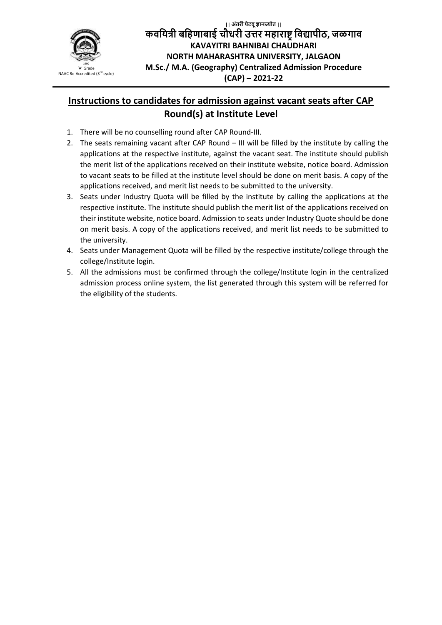

**|| अंतरी पेटवूज्ञानज्योत || कवयित्री बयिणाबाई चौधरी उत्तर मिाराष्ट्रयवद्यापीठ, जळगाव KAVAYITRI BAHNIBAI CHAUDHARI NORTH MAHARASHTRA UNIVERSITY, JALGAON M.Sc./ M.A. (Geography) Centralized Admission Procedure (CAP) – 2021-22**

## **Instructions to candidates for admission against vacant seats after CAP Round(s) at Institute Level**

- 1. There will be no counselling round after CAP Round-III.
- 2. The seats remaining vacant after CAP Round III will be filled by the institute by calling the applications at the respective institute, against the vacant seat. The institute should publish the merit list of the applications received on their institute website, notice board. Admission to vacant seats to be filled at the institute level should be done on merit basis. A copy of the applications received, and merit list needs to be submitted to the university.
- 3. Seats under Industry Quota will be filled by the institute by calling the applications at the respective institute. The institute should publish the merit list of the applications received on their institute website, notice board. Admission to seats under Industry Quote should be done on merit basis. A copy of the applications received, and merit list needs to be submitted to the university.
- 4. Seats under Management Quota will be filled by the respective institute/college through the college/Institute login.
- 5. All the admissions must be confirmed through the college/Institute login in the centralized admission process online system, the list generated through this system will be referred for the eligibility of the students.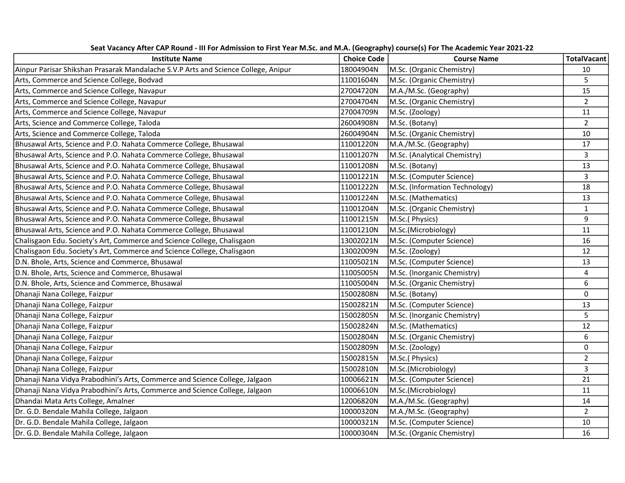| <b>Institute Name</b>                                                              | <b>Choice Code</b> | <b>Course Name</b>             | <b>TotalVacant</b> |
|------------------------------------------------------------------------------------|--------------------|--------------------------------|--------------------|
| Ainpur Parisar Shikshan Prasarak Mandalache S.V.P Arts and Science College, Anipur | 18004904N          | M.Sc. (Organic Chemistry)      | 10                 |
| Arts, Commerce and Science College, Bodvad                                         | 11001604N          | M.Sc. (Organic Chemistry)      | 5                  |
| Arts, Commerce and Science College, Navapur                                        | 27004720N          | M.A./M.Sc. (Geography)         | 15                 |
| Arts, Commerce and Science College, Navapur                                        | 27004704N          | M.Sc. (Organic Chemistry)      | $\overline{2}$     |
| Arts, Commerce and Science College, Navapur                                        | 27004709N          | M.Sc. (Zoology)                | ${\bf 11}$         |
| Arts, Science and Commerce College, Taloda                                         | 26004908N          | M.Sc. (Botany)                 | $\overline{2}$     |
| Arts, Science and Commerce College, Taloda                                         | 26004904N          | M.Sc. (Organic Chemistry)      | 10                 |
| Bhusawal Arts, Science and P.O. Nahata Commerce College, Bhusawal                  | 11001220N          | M.A./M.Sc. (Geography)         | 17                 |
| Bhusawal Arts, Science and P.O. Nahata Commerce College, Bhusawal                  | 11001207N          | M.Sc. (Analytical Chemistry)   | $\overline{3}$     |
| Bhusawal Arts, Science and P.O. Nahata Commerce College, Bhusawal                  | 11001208N          | M.Sc. (Botany)                 | 13                 |
| Bhusawal Arts, Science and P.O. Nahata Commerce College, Bhusawal                  | 11001221N          | M.Sc. (Computer Science)       | 3                  |
| Bhusawal Arts, Science and P.O. Nahata Commerce College, Bhusawal                  | 11001222N          | M.Sc. (Information Technology) | 18                 |
| Bhusawal Arts, Science and P.O. Nahata Commerce College, Bhusawal                  | 11001224N          | M.Sc. (Mathematics)            | 13                 |
| Bhusawal Arts, Science and P.O. Nahata Commerce College, Bhusawal                  | 11001204N          | M.Sc. (Organic Chemistry)      | $\mathbf{1}$       |
| Bhusawal Arts, Science and P.O. Nahata Commerce College, Bhusawal                  | 11001215N          | M.Sc.(Physics)                 | 9                  |
| Bhusawal Arts, Science and P.O. Nahata Commerce College, Bhusawal                  | 11001210N          | M.Sc.(Microbiology)            | 11                 |
| Chalisgaon Edu. Society's Art, Commerce and Science College, Chalisgaon            | 13002021N          | M.Sc. (Computer Science)       | 16                 |
| Chalisgaon Edu. Society's Art, Commerce and Science College, Chalisgaon            | 13002009N          | M.Sc. (Zoology)                | 12                 |
| D.N. Bhole, Arts, Science and Commerce, Bhusawal                                   | 11005021N          | M.Sc. (Computer Science)       | 13                 |
| D.N. Bhole, Arts, Science and Commerce, Bhusawal                                   | 11005005N          | M.Sc. (Inorganic Chemistry)    | $\overline{4}$     |
| D.N. Bhole, Arts, Science and Commerce, Bhusawal                                   | 11005004N          | M.Sc. (Organic Chemistry)      | 6                  |
| Dhanaji Nana College, Faizpur                                                      | 15002808N          | M.Sc. (Botany)                 | $\mathbf 0$        |
| Dhanaji Nana College, Faizpur                                                      | 15002821N          | M.Sc. (Computer Science)       | 13                 |
| Dhanaji Nana College, Faizpur                                                      | 15002805N          | M.Sc. (Inorganic Chemistry)    | 5                  |
| Dhanaji Nana College, Faizpur                                                      | 15002824N          | M.Sc. (Mathematics)            | 12                 |
| Dhanaji Nana College, Faizpur                                                      | 15002804N          | M.Sc. (Organic Chemistry)      | 6                  |
| Dhanaji Nana College, Faizpur                                                      | 15002809N          | M.Sc. (Zoology)                | 0                  |
| Dhanaji Nana College, Faizpur                                                      | 15002815N          | M.Sc.(Physics)                 | $\overline{2}$     |
| Dhanaji Nana College, Faizpur                                                      | 15002810N          | M.Sc.(Microbiology)            | 3                  |
| Dhanaji Nana Vidya Prabodhini's Arts, Commerce and Science College, Jalgaon        | 10006621N          | M.Sc. (Computer Science)       | 21                 |
| Dhanaji Nana Vidya Prabodhini's Arts, Commerce and Science College, Jalgaon        | 10006610N          | M.Sc.(Microbiology)            | 11                 |
| Dhandai Mata Arts College, Amalner                                                 | 12006820N          | M.A./M.Sc. (Geography)         | 14                 |
| Dr. G.D. Bendale Mahila College, Jalgaon                                           | 10000320N          | M.A./M.Sc. (Geography)         | $\overline{2}$     |
| Dr. G.D. Bendale Mahila College, Jalgaon                                           | 10000321N          | M.Sc. (Computer Science)       | 10                 |
| Dr. G.D. Bendale Mahila College, Jalgaon                                           | 10000304N          | M.Sc. (Organic Chemistry)      | 16                 |

Seat Vacancy After CAP Round - III For Admission to First Year M.Sc. and M.A. (Geography) course(s) For The Academic Year 2021-22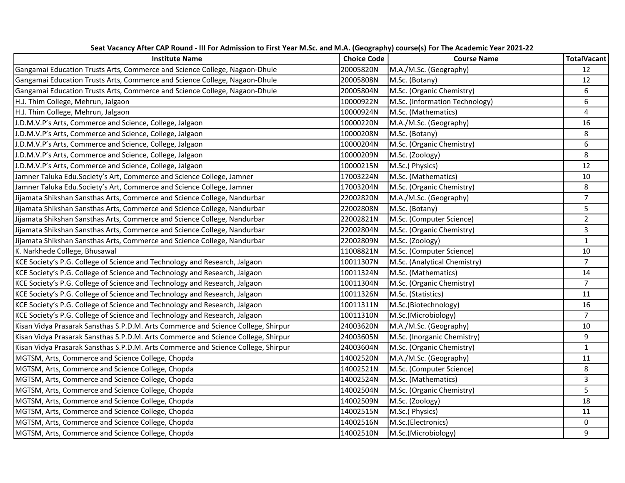| <b>Institute Name</b>                                                             | <b>Choice Code</b> | <b>Course Name</b>             | <b>TotalVacant</b> |
|-----------------------------------------------------------------------------------|--------------------|--------------------------------|--------------------|
| Gangamai Education Trusts Arts, Commerce and Science College, Nagaon-Dhule        | 20005820N          | M.A./M.Sc. (Geography)         | 12                 |
| Gangamai Education Trusts Arts, Commerce and Science College, Nagaon-Dhule        | 20005808N          | M.Sc. (Botany)                 | 12                 |
| Gangamai Education Trusts Arts, Commerce and Science College, Nagaon-Dhule        | 20005804N          | M.Sc. (Organic Chemistry)      | 6                  |
| H.J. Thim College, Mehrun, Jalgaon                                                | 10000922N          | M.Sc. (Information Technology) | 6                  |
| H.J. Thim College, Mehrun, Jalgaon                                                | 10000924N          | M.Sc. (Mathematics)            | $\overline{4}$     |
| J.D.M.V.P's Arts, Commerce and Science, College, Jalgaon                          | 10000220N          | M.A./M.Sc. (Geography)         | 16                 |
| J.D.M.V.P's Arts, Commerce and Science, College, Jalgaon                          | 10000208N          | M.Sc. (Botany)                 | 8                  |
| J.D.M.V.P's Arts, Commerce and Science, College, Jalgaon                          | 10000204N          | M.Sc. (Organic Chemistry)      | 6                  |
| J.D.M.V.P's Arts, Commerce and Science, College, Jalgaon                          | 10000209N          | M.Sc. (Zoology)                | 8                  |
| J.D.M.V.P's Arts, Commerce and Science, College, Jalgaon                          | 10000215N          | M.Sc.(Physics)                 | 12                 |
| Jamner Taluka Edu.Society's Art, Commerce and Science College, Jamner             | 17003224N          | M.Sc. (Mathematics)            | $10\,$             |
| Jamner Taluka Edu.Society's Art, Commerce and Science College, Jamner             | 17003204N          | M.Sc. (Organic Chemistry)      | 8                  |
| Jijamata Shikshan Sansthas Arts, Commerce and Science College, Nandurbar          | 22002820N          | M.A./M.Sc. (Geography)         | $\overline{7}$     |
| Jijamata Shikshan Sansthas Arts, Commerce and Science College, Nandurbar          | 22002808N          | M.Sc. (Botany)                 | 5                  |
| Jijamata Shikshan Sansthas Arts, Commerce and Science College, Nandurbar          | 22002821N          | M.Sc. (Computer Science)       | $\mathbf{2}$       |
| Jijamata Shikshan Sansthas Arts, Commerce and Science College, Nandurbar          | 22002804N          | M.Sc. (Organic Chemistry)      | $\overline{3}$     |
| Jijamata Shikshan Sansthas Arts, Commerce and Science College, Nandurbar          | 22002809N          | M.Sc. (Zoology)                | $\mathbf{1}$       |
| K. Narkhede College, Bhusawal                                                     | 11008821N          | M.Sc. (Computer Science)       | 10                 |
| KCE Society's P.G. College of Science and Technology and Research, Jalgaon        | 10011307N          | M.Sc. (Analytical Chemistry)   | $\overline{7}$     |
| KCE Society's P.G. College of Science and Technology and Research, Jalgaon        | 10011324N          | M.Sc. (Mathematics)            | 14                 |
| KCE Society's P.G. College of Science and Technology and Research, Jalgaon        | 10011304N          | M.Sc. (Organic Chemistry)      | $\overline{7}$     |
| KCE Society's P.G. College of Science and Technology and Research, Jalgaon        | 10011326N          | M.Sc. (Statistics)             | 11                 |
| KCE Society's P.G. College of Science and Technology and Research, Jalgaon        | 10011311N          | M.Sc.(Biotechnology)           | 16                 |
| KCE Society's P.G. College of Science and Technology and Research, Jalgaon        | 10011310N          | M.Sc.(Microbiology)            | $\overline{7}$     |
| Kisan Vidya Prasarak Sansthas S.P.D.M. Arts Commerce and Science College, Shirpur | 24003620N          | M.A./M.Sc. (Geography)         | 10                 |
| Kisan Vidya Prasarak Sansthas S.P.D.M. Arts Commerce and Science College, Shirpur | 24003605N          | M.Sc. (Inorganic Chemistry)    | 9                  |
| Kisan Vidya Prasarak Sansthas S.P.D.M. Arts Commerce and Science College, Shirpur | 24003604N          | M.Sc. (Organic Chemistry)      | $\mathbf{1}$       |
| MGTSM, Arts, Commerce and Science College, Chopda                                 | 14002520N          | M.A./M.Sc. (Geography)         | ${\bf 11}$         |
| MGTSM, Arts, Commerce and Science College, Chopda                                 | 14002521N          | M.Sc. (Computer Science)       | 8                  |
| MGTSM, Arts, Commerce and Science College, Chopda                                 | 14002524N          | M.Sc. (Mathematics)            | 3                  |
| MGTSM, Arts, Commerce and Science College, Chopda                                 | 14002504N          | M.Sc. (Organic Chemistry)      | 5                  |
| MGTSM, Arts, Commerce and Science College, Chopda                                 | 14002509N          | M.Sc. (Zoology)                | 18                 |
| MGTSM, Arts, Commerce and Science College, Chopda                                 | 14002515N          | M.Sc.(Physics)                 | 11                 |
| MGTSM, Arts, Commerce and Science College, Chopda                                 | 14002516N          | M.Sc.(Electronics)             | $\mathbf 0$        |
| MGTSM, Arts, Commerce and Science College, Chopda                                 | 14002510N          | M.Sc.(Microbiology)            | 9                  |

Seat Vacancy After CAP Round - III For Admission to First Year M.Sc. and M.A. (Geography) course(s) For The Academic Year 2021-22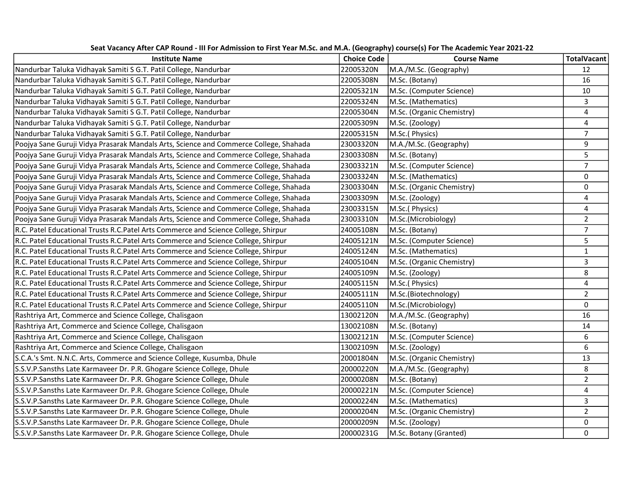| <b>Institute Name</b>                                                                 | <b>Choice Code</b> | <b>Course Name</b>        | <b>TotalVacant</b>      |
|---------------------------------------------------------------------------------------|--------------------|---------------------------|-------------------------|
| Nandurbar Taluka Vidhayak Samiti S G.T. Patil College, Nandurbar                      | 22005320N          | M.A./M.Sc. (Geography)    | 12                      |
| Nandurbar Taluka Vidhayak Samiti S G.T. Patil College, Nandurbar                      | 22005308N          | M.Sc. (Botany)            | 16                      |
| Nandurbar Taluka Vidhayak Samiti S G.T. Patil College, Nandurbar                      | 22005321N          | M.Sc. (Computer Science)  | $10\,$                  |
| Nandurbar Taluka Vidhayak Samiti S G.T. Patil College, Nandurbar                      | 22005324N          | M.Sc. (Mathematics)       | 3                       |
| Nandurbar Taluka Vidhayak Samiti S G.T. Patil College, Nandurbar                      | 22005304N          | M.Sc. (Organic Chemistry) | $\overline{4}$          |
| Nandurbar Taluka Vidhayak Samiti S G.T. Patil College, Nandurbar                      | 22005309N          | M.Sc. (Zoology)           | $\overline{4}$          |
| Nandurbar Taluka Vidhayak Samiti S G.T. Patil College, Nandurbar                      | 22005315N          | M.Sc.(Physics)            | $\overline{7}$          |
| Poojya Sane Guruji Vidya Prasarak Mandals Arts, Science and Commerce College, Shahada | 23003320N          | M.A./M.Sc. (Geography)    | 9                       |
| Poojya Sane Guruji Vidya Prasarak Mandals Arts, Science and Commerce College, Shahada | 23003308N          | M.Sc. (Botany)            | 5                       |
| Poojya Sane Guruji Vidya Prasarak Mandals Arts, Science and Commerce College, Shahada | 23003321N          | M.Sc. (Computer Science)  | $\overline{7}$          |
| Poojya Sane Guruji Vidya Prasarak Mandals Arts, Science and Commerce College, Shahada | 23003324N          | M.Sc. (Mathematics)       | $\mathbf 0$             |
| Poojya Sane Guruji Vidya Prasarak Mandals Arts, Science and Commerce College, Shahada | 23003304N          | M.Sc. (Organic Chemistry) | $\mathsf{O}\xspace$     |
| Poojya Sane Guruji Vidya Prasarak Mandals Arts, Science and Commerce College, Shahada | 23003309N          | M.Sc. (Zoology)           | 4                       |
| Poojya Sane Guruji Vidya Prasarak Mandals Arts, Science and Commerce College, Shahada | 23003315N          | M.Sc.(Physics)            | $\overline{\mathbf{4}}$ |
| Poojya Sane Guruji Vidya Prasarak Mandals Arts, Science and Commerce College, Shahada | 23003310N          | M.Sc.(Microbiology)       | $\overline{2}$          |
| R.C. Patel Educational Trusts R.C.Patel Arts Commerce and Science College, Shirpur    | 24005108N          | M.Sc. (Botany)            | $\overline{7}$          |
| R.C. Patel Educational Trusts R.C.Patel Arts Commerce and Science College, Shirpur    | 24005121N          | M.Sc. (Computer Science)  | 5                       |
| R.C. Patel Educational Trusts R.C. Patel Arts Commerce and Science College, Shirpur   | 24005124N          | M.Sc. (Mathematics)       | $\mathbf{1}$            |
| R.C. Patel Educational Trusts R.C.Patel Arts Commerce and Science College, Shirpur    | 24005104N          | M.Sc. (Organic Chemistry) | 3                       |
| R.C. Patel Educational Trusts R.C.Patel Arts Commerce and Science College, Shirpur    | 24005109N          | M.Sc. (Zoology)           | 8                       |
| R.C. Patel Educational Trusts R.C.Patel Arts Commerce and Science College, Shirpur    | 24005115N          | M.Sc.(Physics)            | $\overline{4}$          |
| R.C. Patel Educational Trusts R.C.Patel Arts Commerce and Science College, Shirpur    | 24005111N          | M.Sc.(Biotechnology)      | $\overline{2}$          |
| R.C. Patel Educational Trusts R.C.Patel Arts Commerce and Science College, Shirpur    | 24005110N          | M.Sc.(Microbiology)       | $\mathbf 0$             |
| Rashtriya Art, Commerce and Science College, Chalisgaon                               | 13002120N          | M.A./M.Sc. (Geography)    | 16                      |
| Rashtriya Art, Commerce and Science College, Chalisgaon                               | 13002108N          | M.Sc. (Botany)            | 14                      |
| Rashtriya Art, Commerce and Science College, Chalisgaon                               | 13002121N          | M.Sc. (Computer Science)  | 6                       |
| Rashtriya Art, Commerce and Science College, Chalisgaon                               | 13002109N          | M.Sc. (Zoology)           | 6                       |
| S.C.A.'s Smt. N.N.C. Arts, Commerce and Science College, Kusumba, Dhule               | 20001804N          | M.Sc. (Organic Chemistry) | 13                      |
| S.S.V.P.Sansths Late Karmaveer Dr. P.R. Ghogare Science College, Dhule                | 20000220N          | M.A./M.Sc. (Geography)    | 8                       |
| S.S.V.P.Sansths Late Karmaveer Dr. P.R. Ghogare Science College, Dhule                | 20000208N          | M.Sc. (Botany)            | $\overline{2}$          |
| S.S.V.P.Sansths Late Karmaveer Dr. P.R. Ghogare Science College, Dhule                | 20000221N          | M.Sc. (Computer Science)  | $\overline{4}$          |
| S.S.V.P.Sansths Late Karmaveer Dr. P.R. Ghogare Science College, Dhule                | 20000224N          | M.Sc. (Mathematics)       | 3                       |
| S.S.V.P.Sansths Late Karmaveer Dr. P.R. Ghogare Science College, Dhule                | 20000204N          | M.Sc. (Organic Chemistry) | $\overline{2}$          |
| S.S.V.P.Sansths Late Karmaveer Dr. P.R. Ghogare Science College, Dhule                | 20000209N          | M.Sc. (Zoology)           | 0                       |
| S.S.V.P.Sansths Late Karmaveer Dr. P.R. Ghogare Science College, Dhule                | 20000231G          | M.Sc. Botany (Granted)    | 0                       |

Seat Vacancy After CAP Round - III For Admission to First Year M.Sc. and M.A. (Geography) course(s) For The Academic Year 2021-22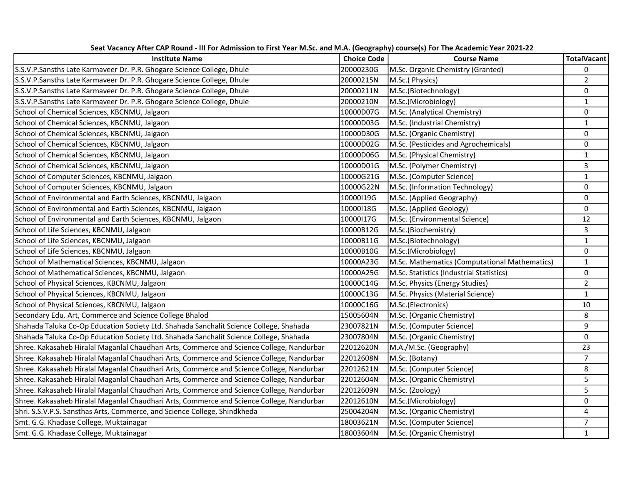| <b>Institute Name</b>                                                                     | <b>Choice Code</b> | $\cdots$<br><b>Course Name</b>                | <b>TotalVacant</b> |
|-------------------------------------------------------------------------------------------|--------------------|-----------------------------------------------|--------------------|
| S.S.V.P.Sansths Late Karmaveer Dr. P.R. Ghogare Science College, Dhule                    | 20000230G          | M.Sc. Organic Chemistry (Granted)             | $\Omega$           |
| S.S.V.P.Sansths Late Karmaveer Dr. P.R. Ghogare Science College, Dhule                    | 20000215N          | M.Sc.(Physics)                                | $\overline{2}$     |
| S.S.V.P.Sansths Late Karmaveer Dr. P.R. Ghogare Science College, Dhule                    | 20000211N          | M.Sc.(Biotechnology)                          | 0                  |
| S.S.V.P.Sansths Late Karmaveer Dr. P.R. Ghogare Science College, Dhule                    | 20000210N          | M.Sc.(Microbiology)                           | $\mathbf{1}$       |
| School of Chemical Sciences, KBCNMU, Jalgaon                                              | 10000D07G          | M.Sc. (Analytical Chemistry)                  | 0                  |
| School of Chemical Sciences, KBCNMU, Jalgaon                                              | 10000D03G          | M.Sc. (Industrial Chemistry)                  | $\mathbf{1}$       |
| School of Chemical Sciences, KBCNMU, Jalgaon                                              | 10000D30G          | M.Sc. (Organic Chemistry)                     | 0                  |
| School of Chemical Sciences, KBCNMU, Jalgaon                                              | 10000D02G          | M.Sc. (Pesticides and Agrochemicals)          | 0                  |
| School of Chemical Sciences, KBCNMU, Jalgaon                                              | 10000D06G          | M.Sc. (Physical Chemistry)                    | $\mathbf 1$        |
| School of Chemical Sciences, KBCNMU, Jalgaon                                              | 10000D01G          | M.Sc. (Polymer Chemistry)                     | $\overline{3}$     |
| School of Computer Sciences, KBCNMU, Jalgaon                                              | 10000G21G          | M.Sc. (Computer Science)                      | $\mathbf{1}$       |
| School of Computer Sciences, KBCNMU, Jalgaon                                              | 10000G22N          | M.Sc. (Information Technology)                | 0                  |
| School of Environmental and Earth Sciences, KBCNMU, Jalgaon                               | 10000I19G          | M.Sc. (Applied Geography)                     | 0                  |
| School of Environmental and Earth Sciences, KBCNMU, Jalgaon                               | 10000I18G          | M.Sc. (Applied Geology)                       | 0                  |
| School of Environmental and Earth Sciences, KBCNMU, Jalgaon                               | 10000I17G          | M.Sc. (Environmental Science)                 | 12                 |
| School of Life Sciences, KBCNMU, Jalgaon                                                  | 10000B12G          | M.Sc.(Biochemistry)                           | $\overline{3}$     |
| School of Life Sciences, KBCNMU, Jalgaon                                                  | 10000B11G          | M.Sc.(Biotechnology)                          | $\mathbf{1}$       |
| School of Life Sciences, KBCNMU, Jalgaon                                                  | 10000B10G          | M.Sc.(Microbiology)                           | 0                  |
| School of Mathematical Sciences, KBCNMU, Jalgaon                                          | 10000A23G          | M.Sc. Mathematics (Computational Mathematics) | $\mathbf{1}$       |
| School of Mathematical Sciences, KBCNMU, Jalgaon                                          | 10000A25G          | M.Sc. Statistics (Industrial Statistics)      | 0                  |
| School of Physical Sciences, KBCNMU, Jalgaon                                              | 10000C14G          | M.Sc. Physics (Energy Studies)                | $\overline{2}$     |
| School of Physical Sciences, KBCNMU, Jalgaon                                              | 10000C13G          | M.Sc. Physics (Material Science)              | $\mathbf{1}$       |
| School of Physical Sciences, KBCNMU, Jalgaon                                              | 10000C16G          | M.Sc.(Electronics)                            | 10                 |
| Secondary Edu. Art, Commerce and Science College Bhalod                                   | 15005604N          | M.Sc. (Organic Chemistry)                     | 8                  |
| Shahada Taluka Co-Op Education Society Ltd. Shahada Sanchalit Science College, Shahada    | 23007821N          | M.Sc. (Computer Science)                      | 9                  |
| Shahada Taluka Co-Op Education Society Ltd. Shahada Sanchalit Science College, Shahada    | 23007804N          | M.Sc. (Organic Chemistry)                     | 0                  |
| Shree. Kakasaheb Hiralal Maganlal Chaudhari Arts, Commerce and Science College, Nandurbar | 22012620N          | M.A./M.Sc. (Geography)                        | 23                 |
| Shree. Kakasaheb Hiralal Maganlal Chaudhari Arts, Commerce and Science College, Nandurbar | 22012608N          | M.Sc. (Botany)                                | $\overline{7}$     |
| Shree. Kakasaheb Hiralal Maganlal Chaudhari Arts, Commerce and Science College, Nandurbar | 22012621N          | M.Sc. (Computer Science)                      | 8                  |
| Shree. Kakasaheb Hiralal Maganlal Chaudhari Arts, Commerce and Science College, Nandurbar | 22012604N          | M.Sc. (Organic Chemistry)                     | 5                  |
| Shree. Kakasaheb Hiralal Maganlal Chaudhari Arts, Commerce and Science College, Nandurbar | 22012609N          | M.Sc. (Zoology)                               | 5                  |
| Shree. Kakasaheb Hiralal Maganlal Chaudhari Arts, Commerce and Science College, Nandurbar | 22012610N          | M.Sc.(Microbiology)                           | 0                  |
| Shri. S.S.V.P.S. Sansthas Arts, Commerce, and Science College, Shindkheda                 | 25004204N          | M.Sc. (Organic Chemistry)                     | 4                  |
| Smt. G.G. Khadase College, Muktainagar                                                    | 18003621N          | M.Sc. (Computer Science)                      | $\overline{7}$     |
| Smt. G.G. Khadase College, Muktainagar                                                    | 18003604N          | M.Sc. (Organic Chemistry)                     | $\mathbf{1}$       |

Seat Vacancy After CAP Round - III For Admission to First Year M.Sc. and M.A. (Geography) course(s) For The Academic Year 2021-22